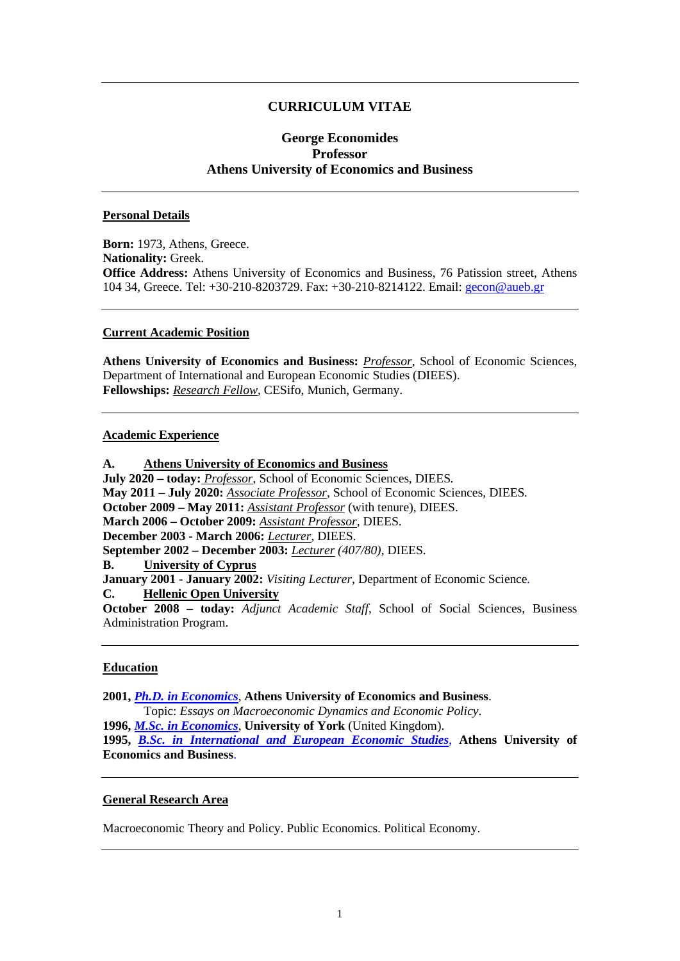# **CURRICULUM VITAE**

# **George Economides Professor Athens University of Economics and Business**

#### **Personal Details**

**Born:** 1973, Athens, Greece. **Nationality:** Greek. **Office Address:** Athens University of Economics and Business, 76 Patission street, Athens 104 34, Greece. Tel: +30-210-8203729. Fax: +30-210-8214122. Email: [gecon@aueb.gr](mailto:gecon@aueb.gr)

#### **Current Academic Position**

**Athens University of Economics and Business:** *Professor*, School of Economic Sciences, Department of International and European Economic Studies (DIEES). **Fellowships:** *Research Fellow*, CESifo, Munich, Germany.

#### **Academic Experience**

**A. Athens University of Economics and Business July 2020 – today:** *Professor*, School of Economic Sciences, DIEES*.* **May 2011 – July 2020:** *Associate Professor*, School of Economic Sciences, DIEES*.* **October 2009 – May 2011:** *Assistant Professor* (with tenure), DIEES. **March 2006 – October 2009:** *Assistant Professor*, DIEES. **December 2003 - March 2006:** *Lecturer*, DIEES. **September 2002 – December 2003:** *Lecturer (407/80)*, DIEES. **B. University of Cyprus January 2001 - January 2002:** *Visiting Lecturer*, Department of Economic Science*.* **C. Hellenic Open University October 2008 – today:** *Adjunct Academic Staff*, School of Social Sciences, Business Administration Program.

# **Εducation**

**2001,** *Ph.D. in Economics*, **Athens University of Economics and Business**. Topic: *Essays on Macroeconomic Dynamics and Economic Policy*. **1996,** *M.Sc. in Economics*, **University of York** (United Kingdom). **1995,** *B.Sc. in International and European Economic Studies*, **Athens University of Economics and Business**.

#### **General Research Area**

Macroeconomic Theory and Policy. Public Economics. Political Economy.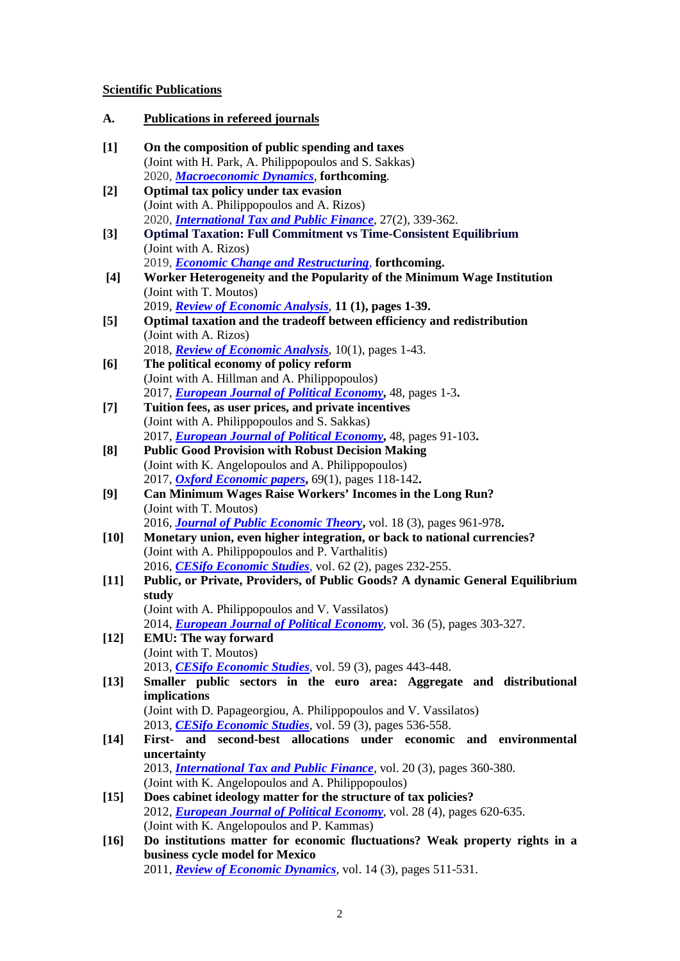## **Scientific Publications**

- **A. Publications in refereed journals**
- **[1] On the composition of public spending and taxes** (Joint with H. Park, A. Philippopoulos and S. Sakkas) 2020, *Macroeconomic Dynamics*, **forthcoming**. **[2] Optimal tax policy under tax evasion** (Joint with A. Philippopoulos and A. Rizos) 2020, *International Tax and Public Finance*, 27(2), 339-362. **[3] Optimal Taxation: Full Commitment vs Time-Consistent Equilibrium** (Joint with A. Rizos) 2019, *Economic Change and Restructuring*, **forthcoming. [4] Worker Heterogeneity and the Popularity of the Minimum Wage Institution** (Joint with T. Moutos) 2019, *Review of Economic Analysis*, **11 (1), pages 1-39. [5] Optimal taxation and the tradeoff between efficiency and redistribution** (Joint with A. Rizos) 2018, *Review of Economic Analysis*, 10(1), pages 1-43. **[6] The political economy of policy reform** (Joint with A. Hillman and A. Philippopoulos) 2017, *European Journal of Political Economy***,** 48, pages 1-3**. [7] Tuition fees, as user prices, and private incentives** (Joint with A. Philippopoulos and S. Sakkas) 2017, *European Journal of Political Economy***,** 48, pages 91-103**. [8] Public Good Provision with Robust Decision Making** (Joint with K. Angelopoulos and A. Philippopoulos) 2017, *Oxford Economic papers***,** 69(1), pages 118-142**. [9] Can Minimum Wages Raise Workers' Incomes in the Long Run?** (Joint with T. Moutos) 2016, *Journal of Public Economic Theory***,** vol. 18 (3), pages 961-978**. [10] Monetary union, even higher integration, or back to national currencies?** (Joint with A. Philippopoulos and P. Varthalitis) 2016, *CESifo Economic Studies*, vol. 62 (2), pages 232-255. **[11] Public, or Private, Providers, of Public Goods? A dynamic General Equilibrium study** (Joint with A. Philippopoulos and V. Vassilatos) 2014, *European Journal of Political Economy*, vol. 36 (5), pages 303-327. **[12] EMU: The way forward** (Joint with T. Moutos) 2013, *CESifo Economic Studies*, vol. 59 (3), pages 443-448. **[13] Smaller public sectors in the euro area: Aggregate and distributional implications** (Joint with D. Papageorgiou, A. Philippopoulos and V. Vassilatos) 2013, *CESifo Economic Studies*, vol. 59 (3), pages 536-558. **[14] First- and second-best allocations under economic and environmental uncertainty** 2013, *International Tax and Public Finance*, vol. 20 (3), pages 360-380. (Joint with K. Angelopoulos and A. Philippopoulos) **[15] Does cabinet ideology matter for the structure of tax policies?** 2012, *European Journal of Political Economy*, vol. 28 (4), pages 620-635. (Joint with K. Angelopoulos and P. Kammas) **[16] Do institutions matter for economic fluctuations? Weak property rights in a business cycle model for Mexico**

2011, *Review of Economic Dynamics*, vol. 14 (3), pages 511-531.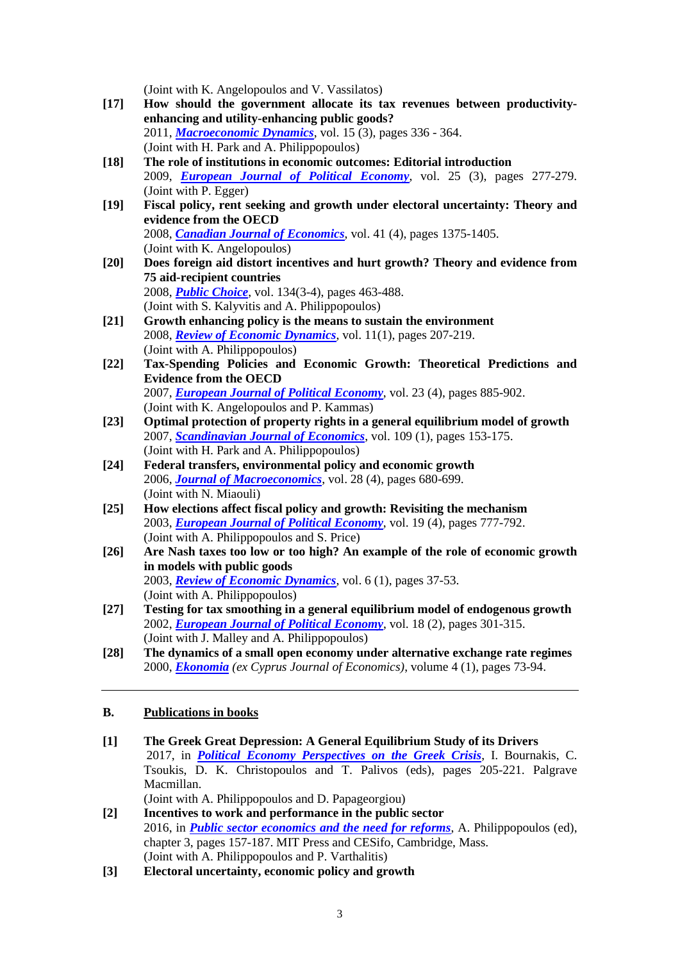(Joint with K. Angelopoulos and V. Vassilatos)

- **[17] How should the government allocate its tax revenues between productivityenhancing and utility-enhancing public goods?** 2011, *Macroeconomic Dynamics*, [vol. 15](http://journals.cambridge.org/action/displayBackIssues?jid=MDY&volumeId=15) (3), pages 336 - 364. (Joint with H. Park and A. Philippopoulos)
- **[18] The role of institutions in economic outcomes: Editorial introduction** 2009, *European Journal of Political Economy*, vol. 25 (3), pages 277-279. (Joint with P. Egger)
- **[19] Fiscal policy, rent seeking and growth under electoral uncertainty: Theory and evidence from the OECD**  2008, *Canadian Journal of Economics*, vol. 41 (4), pages 1375-1405. (Joint with K. Angelopoulos)
- **[20] Does foreign aid distort incentives and hurt growth? Theory and evidence from 75 aid-recipient countries** 2008, *Public Choice*, vol. 134(3-4), pages 463-488.
- (Joint with S. Kalyvitis and A. Philippopoulos) **[21] Growth enhancing policy is the means to sustain the environment** 2008, *Review of Economic Dynamics*, vol. 11(1), pages 207-219. (Joint with A. Philippopoulos)
- **[22] Tax-Spending Policies and Economic Growth: Theoretical Predictions and Evidence from the OECD** 2007, *European Journal of Political Economy*, vol. 23 (4), pages 885-902. (Joint with K. Angelopoulos and P. Kammas)
- **[23] Optimal protection of property rights in a general equilibrium model of growth** 2007, *Scandinavian Journal of Economics*, vol. 109 (1), pages 153-175. (Joint with H. Park and A. Philippopoulos)
- **[24] Federal transfers, environmental policy and economic growth** 2006, *Journal of Macroeconomics*, vol. 28 (4), pages 680-699. (Joint with N. Miaouli)
- **[25] How elections affect fiscal policy and growth: Revisiting the mechanism** 2003, *European Journal of Political Economy*, vol. 19 (4), pages 777-792. (Joint with A. Philippopoulos and S. Price)
- **[26] Are Nash taxes too low or too high? An example of the role of economic growth in models with public goods** 2003, *Review of Economic Dynamics*, vol. 6 (1), pages 37-53. (Joint with A. Philippopoulos)
- **[27] Testing for tax smoothing in a general equilibrium model of endogenous growth** 2002, *European Journal of Political Economy*, vol. 18 (2), pages 301-315. (Joint with J. Malley and A. Philippopoulos)
- **[28] The dynamics of a small open economy under alternative exchange rate regimes** 2000, *Ekonomia (ex Cyprus Journal of Economics)*, volume 4 (1), pages 73-94.

# **B. Publications in books**

**[1] The Greek Great Depression: A General Equilibrium Study of its Drivers** 2017, in *Political Economy Perspectives on the Greek Crisis*, I. Bournakis, C. Tsoukis, D. K. Christopoulos and T. Palivos (eds), pages 205-221. Palgrave Macmillan. (Joint with A. Philippopoulos and D. Papageorgiou)

**[2] Incentives to work and performance in the public sector** 2016, in *Public sector economics and the need for reforms*, A. Philippopoulos (ed), chapter 3, pages 157-187. MIT Press and CESifo, Cambridge, Mass. (Joint with A. Philippopoulos and P. Varthalitis)

**[3] Electoral uncertainty, economic policy and growth**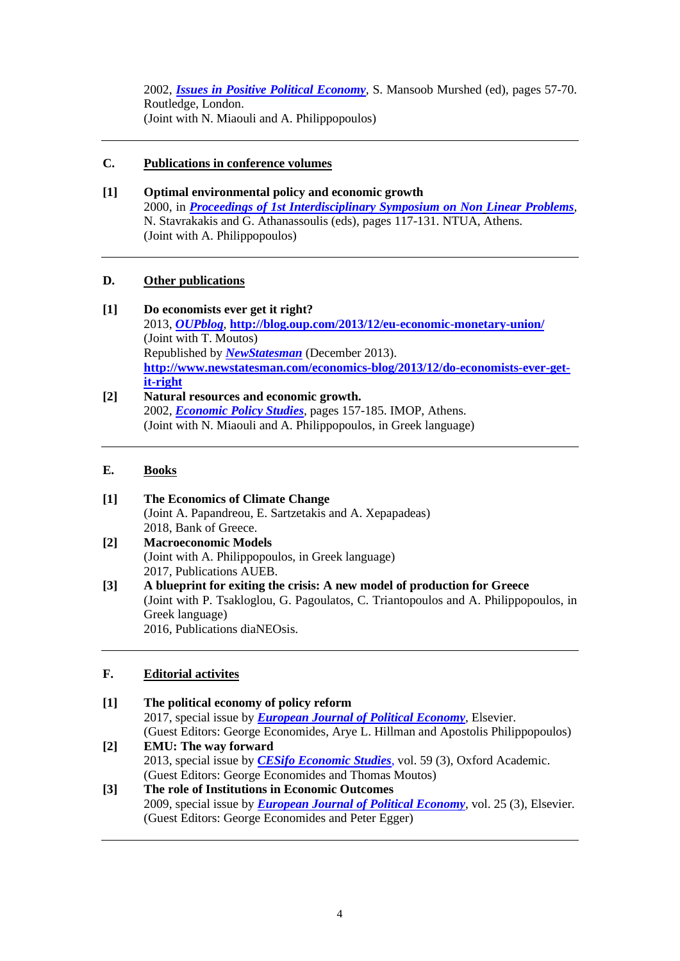2002, *Issues in Positive Political Economy*, S. Mansoob Murshed (ed), pages 57-70. Routledge, London. (Joint with N. Miaouli and A. Philippopoulos)

# **C. Publications in conference volumes**

**[1] Optimal environmental policy and economic growth** 2000, in *Proceedings of 1st Interdisciplinary Symposium on Non Linear Problems*, N. Stavrakakis and G. Athanassoulis (eds), pages 117-131. NTUA, Athens. (Joint with A. Philippopoulos)

# **D. Other publications**

- **[1] Do economists ever get it right?** 2013, *OUPblog*, **<http://blog.oup.com/2013/12/eu-economic-monetary-union/>** (Joint with T. Moutos) Republished by *NewStatesman* (December 2013). **[http://www.newstatesman.com/economics-blog/2013/12/do-economists-ever-get](http://www.newstatesman.com/economics-blog/2013/12/do-economists-ever-get-it-right)[it-right](http://www.newstatesman.com/economics-blog/2013/12/do-economists-ever-get-it-right)**
- **[2] Natural resources and economic growth.** 2002, *Economic Policy Studies*, pages 157-185. IMOP, Athens. (Joint with N. Miaouli and A. Philippopoulos, in Greek language)

# **E. Books**

- **[1] The Economics of Climate Change** (Joint A. Papandreou, E. Sartzetakis and A. Xepapadeas) 2018, Bank of Greece.
- **[2] Macroeconomic Models** (Joint with A. Philippopoulos, in Greek language) 2017, Publications AUEB.
- **[3] A blueprint for exiting the crisis: A new model of production for Greece** (Joint with P. Tsakloglou, G. Pagoulatos, C. Triantopoulos and A. Philippopoulos, in Greek language) 2016, Publications diaNEOsis.

# **F. Editorial activites**

- **[1] The political economy of policy reform** 2017, special issue by *European Journal of Political Economy*, Elsevier. (Guest Editors: George Economides, Arye L. Hillman and Apostolis Philippopoulos) **[2] EMU: The way forward**
- 2013, special issue by *CESifo Economic Studies*, vol. 59 (3), Oxford Academic. (Guest Editors: George Economides and Thomas Moutos)
- **[3] The role of Institutions in Economic Outcomes** 2009, special issue by *European Journal of Political Economy*, vol. 25 (3), Elsevier. (Guest Editors: George Economides and Peter Egger)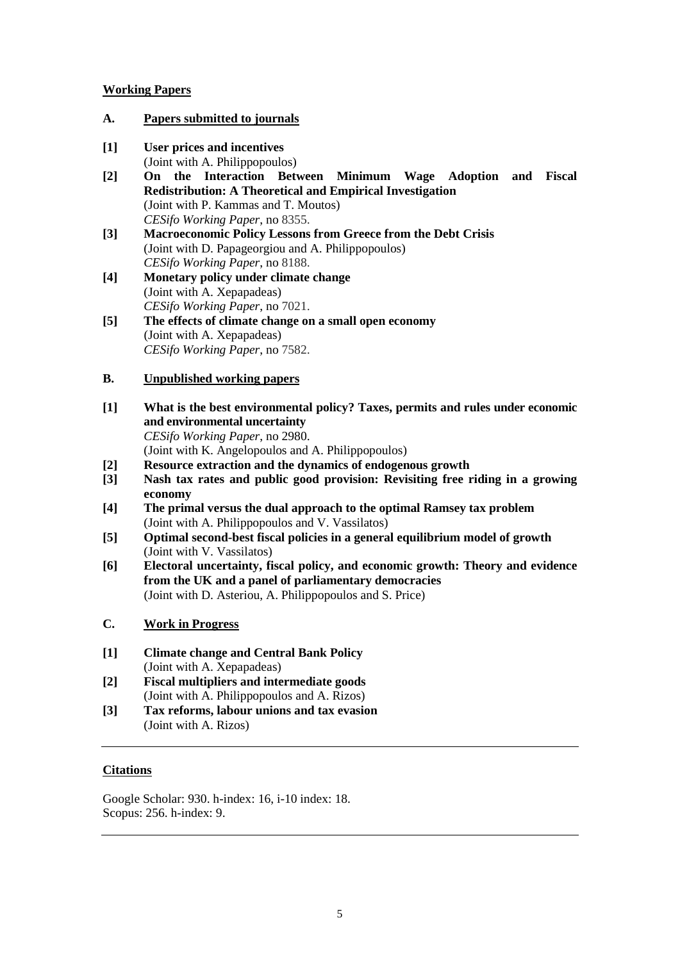## **Working Papers**

- **A. Papers submitted to journals**
- **[1] User prices and incentives** (Joint with A. Philippopoulos)
- **[2] On the Interaction Between Minimum Wage Adoption and Fiscal Redistribution: A Theoretical and Empirical Investigation** (Joint with P. Kammas and T. Moutos) *CESifo Working Paper*, no 8355.
- **[3] Macroeconomic Policy Lessons from Greece from the Debt Crisis** (Joint with D. Papageorgiou and A. Philippopoulos) *CESifo Working Paper*, no 8188.
- **[4] Monetary policy under climate change** (Joint with A. Xepapadeas) *CESifo Working Paper*, no 7021.
- **[5] The effects of climate change on a small open economy** (Joint with A. Xepapadeas) *CESifo Working Paper*, no 7582.

# **B. Unpublished working papers**

- **[1] What is the best environmental policy? Taxes, permits and rules under economic and environmental uncertainty** *CESifo Working Paper*, no 2980. (Joint with K. Angelopoulos and A. Philippopoulos)
- **[2] Resource extraction and the dynamics of endogenous growth**
- **[3] Nash tax rates and public good provision: Revisiting free riding in a growing economy**
- **[4] The primal versus the dual approach to the optimal Ramsey tax problem**  (Joint with A. Philippopoulos and V. Vassilatos)
- **[5] Optimal second-best fiscal policies in a general equilibrium model of growth** (Joint with V. Vassilatos)
- **[6] Electoral uncertainty, fiscal policy, and economic growth: Theory and evidence from the UK and a panel of parliamentary democracies** (Joint with D. Asteriou, A. Philippopoulos and S. Price)
- **C. Work in Progress**
- **[1] Climate change and Central Bank Policy** (Joint with A. Xepapadeas)
- **[2] Fiscal multipliers and intermediate goods** (Joint with A. Philippopoulos and A. Rizos)
- **[3] Tax reforms, labour unions and tax evasion** (Joint with A. Rizos)

## **Citations**

Google Scholar: 930. h-index: 16, i-10 index: 18. Scopus: 256. h-index: 9.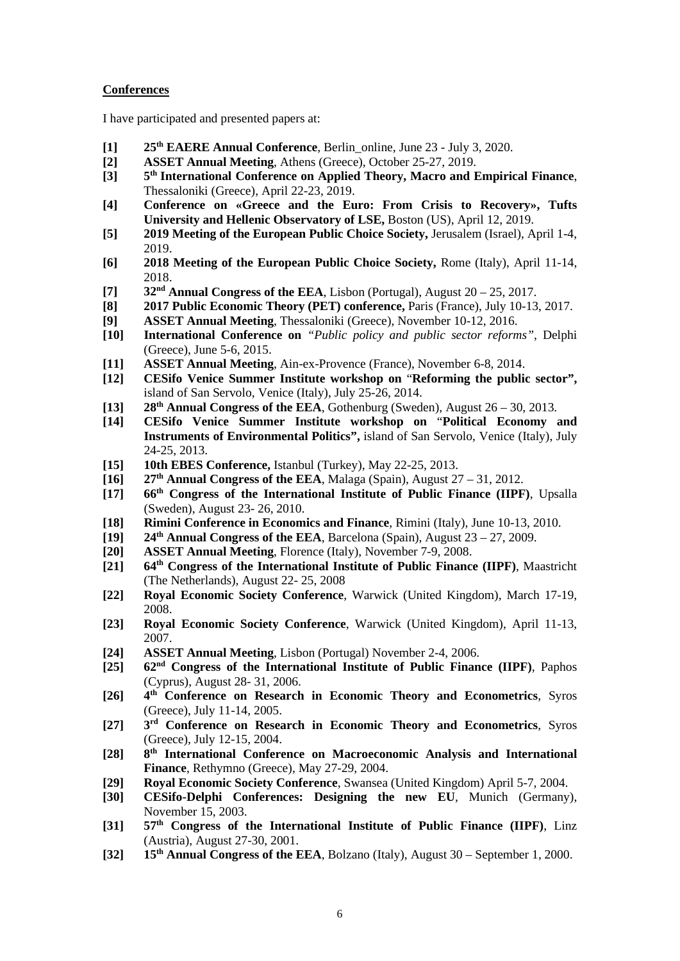#### **Conferences**

I have participated and presented papers at:

- **[1] 25th EAERE Annual Conference**, Berlin\_online, June 23 July 3, 2020.
- **[2] ASSET Annual Meeting**, Athens (Greece), October 25-27, 2019.
- **[3] 5th International Conference on Applied Theory, Macro and Empirical Finance**, Thessaloniki (Greece), April 22-23, 2019.
- **[4] Conference on «Greece and the Euro: From Crisis to Recovery», Tufts University and Hellenic Observatory of LSE,** Boston (US), April 12, 2019.
- **[5] 2019 Meeting of the European Public Choice Society,** Jerusalem (Israel), April 1-4, 2019.
- **[6] 2018 Meeting of the European Public Choice Society,** Rome (Italy), April 11-14, 2018.
- **[7] 32nd Annual Congress of the EEA**, Lisbon (Portugal), August 20 25, 2017.
- **[8] 2017 Public Economic Theory (PET) conference,** Paris (France), July 10-13, 2017.
- **[9] ASSET Annual Meeting**, Thessaloniki (Greece), November 10-12, 2016.
- **[10] International Conference on** *"Public policy and public sector reforms"*, Delphi (Greece), June 5-6, 2015.
- **[11] ASSET Annual Meeting**, Ain-ex-Provence (France), November 6-8, 2014.
- **[12] CESifo Venice Summer Institute workshop on** "**Reforming the public sector",**  island of San Servolo, Venice (Italy), July 25-26, 2014.
- **[13] 28th Annual Congress of the EEA**, Gothenburg (Sweden), August 26 30, 2013.
- **[14] CESifo Venice Summer Institute workshop on** "**Political Economy and Instruments of Environmental Politics",** island of San Servolo, Venice (Italy), July 24-25, 2013.
- **[15] 10th EBES Conference,** Istanbul (Turkey), May 22-25, 2013.
- **[16] 27th Annual Congress of the EEA**, Malaga (Spain), August 27 31, 2012.
- **[17] 66th Congress of the International Institute of Public Finance (IIPF)**, Upsalla (Sweden), August 23- 26, 2010.
- **[18] Rimini Conference in Economics and Finance**, Rimini (Italy), June 10-13, 2010.
- **[19] 24th Annual Congress of the EEA**, Barcelona (Spain), August 23 27, 2009.
- **[20] ASSET Annual Meeting**, Florence (Italy), November 7-9, 2008.
- **[21] 64th Congress of the International Institute of Public Finance (IIPF)**, Maastricht (The Netherlands), August 22- 25, 2008
- **[22] Royal Economic Society Conference**, Warwick (United Kingdom), March 17-19, 2008.
- **[23] Royal Economic Society Conference**, Warwick (United Kingdom), April 11-13, 2007.
- **[24] ASSET Annual Meeting**, Lisbon (Portugal) November 2-4, 2006.
- **[25] 62nd Congress of the International Institute of Public Finance (IIPF)**, Paphos (Cyprus), August 28- 31, 2006.
- **[26] 4th Conference on Research in Economic Theory and Econometrics**, Syros (Greece), July 11-14, 2005.
- **[27] 3rd Conference on Research in Economic Theory and Econometrics**, Syros (Greece), July 12-15, 2004.
- **[28] 8th International Conference on Macroeconomic Analysis and International Finance**, Rethymno (Greece), May 27-29, 2004.
- **[29] Royal Economic Society Conference**, Swansea (United Kingdom) April 5-7, 2004.
- **[30] CESifo-Delphi Conferences: Designing the new EU**, Munich (Germany), November 15, 2003.
- **[31] 57th Congress of the International Institute of Public Finance (IIPF)**, Linz (Austria), August 27-30, 2001.
- **[32] 15th Annual Congress of the EEA**, Bolzano (Italy), August 30 September 1, 2000.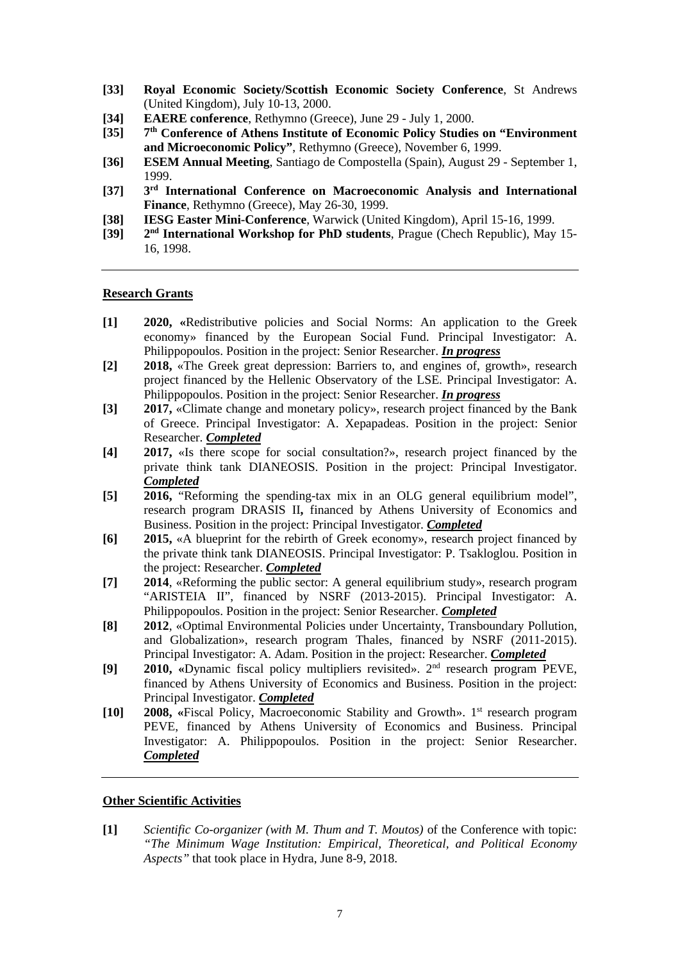- **[33] Royal Economic Society/Scottish Economic Society Conference**, St Andrews (United Kingdom), July 10-13, 2000.
- **[34] EAERE conference**, Rethymno (Greece), June 29 July 1, 2000.
- **[35] 7th Conference of Athens Institute of Economic Policy Studies on "Environment and Microeconomic Policy"**, Rethymno (Greece), November 6, 1999.
- **[36] ESEM Annual Meeting**, Santiago de Compostella (Spain), August 29 September 1, 1999.
- **[37] 3rd International Conference on Macroeconomic Analysis and International Finance**, Rethymno (Greece), May 26-30, 1999.
- **[38] IESG Easter Mini-Conference**, Warwick (United Kingdom), April 15-16, 1999.
- **[39] 2nd International Workshop for PhD students**, Prague (Chech Republic), May 15- 16, 1998.

#### **Research Grants**

- **[1] 2020, «**Redistributive policies and Social Norms: An application to the Greek economy» financed by the European Social Fund. Principal Investigator: A. Philippopoulos. Position in the project: Senior Researcher. *In progress*
- **[2] 2018,** «The Greek great depression: Barriers to, and engines of, growth», research project financed by the Hellenic Observatory of the LSE. Principal Investigator: A. Philippopoulos. Position in the project: Senior Researcher. *In progress*
- **[3] 2017,** «Climate change and monetary policy», research project financed by the Bank of Greece. Principal Investigator: A. Xepapadeas. Position in the project: Senior Researcher. *Completed*
- **[4] 2017,** «Is there scope for social consultation?», research project financed by the private think tank DIANEOSIS. Position in the project: Principal Investigator. *Completed*
- **[5] 2016,** "Reforming the spending-tax mix in an OLG general equilibrium model", research program DRASIS II**,** financed by Athens University of Economics and Business. Position in the project: Principal Investigator. *Completed*
- **[6] 2015,** «A blueprint for the rebirth of Greek economy», research project financed by the private think tank DIANEOSIS. Principal Investigator: P. Tsakloglou. Position in the project: Researcher. *Completed*
- **[7] 2014**, «Reforming the public sector: A general equilibrium study», research program "ARISTEIA II", financed by NSRF (2013-2015). Principal Investigator: A. Philippopoulos. Position in the project: Senior Researcher. *Completed*
- **[8] 2012**, «Optimal Environmental Policies under Uncertainty, Transboundary Pollution, and Globalization», research program Thales, financed by NSRF (2011-2015). Principal Investigator: A. Adam. Position in the project: Researcher. *Completed*
- **[9] 2010, «**Dynamic fiscal policy multipliers revisited». 2nd research program PEVE, financed by Athens University of Economics and Business. Position in the project: Principal Investigator. *Completed*
- **[10] 2008, «**Fiscal Policy, Macroeconomic Stability and Growth». 1st research program PEVE, financed by Athens University of Economics and Business. Principal Investigator: A. Philippopoulos. Position in the project: Senior Researcher. *Completed*

## **Other Scientific Activities**

**[1]** *Scientific Co-organizer (with M. Thum and T. Moutos)* of the Conference with topic: *"The Minimum Wage Institution: Empirical, Theoretical, and Political Economy Aspects"* that took place in Hydra, June 8-9, 2018.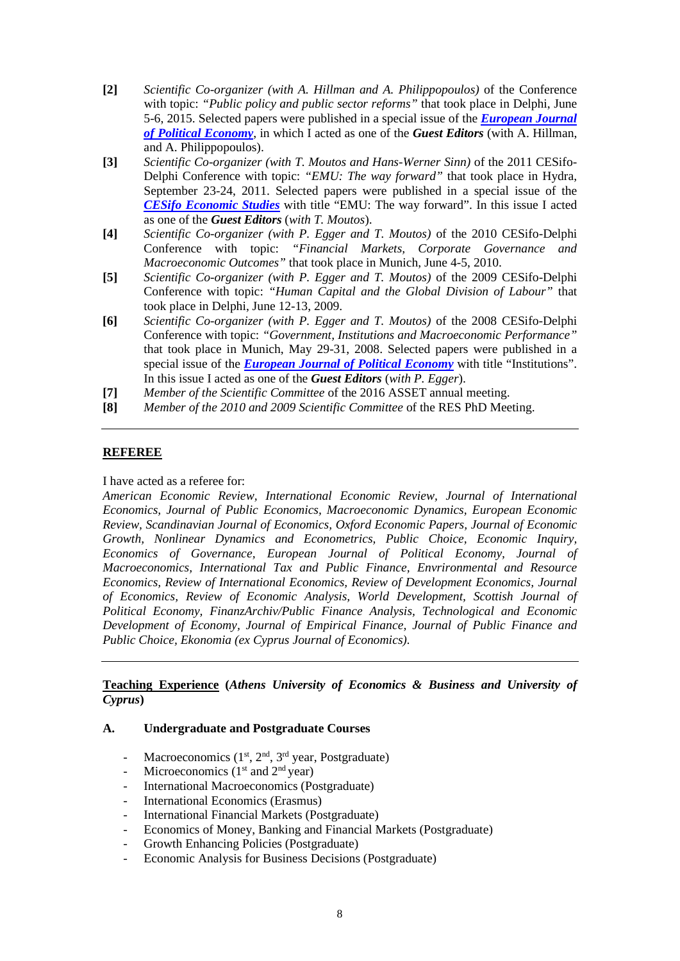- **[2]** *Scientific Co-organizer (with A. Hillman and A. Philippopoulos)* of the Conference with topic: *"Public policy and public sector reforms"* that took place in Delphi, June 5-6, 2015. Selected papers were published in a special issue of the *European Journal of Political Economy*, in which I acted as one of the *Guest Editors* (with A. Hillman, and A. Philippopoulos).
- **[3]** *Scientific Co-organizer (with T. Moutos and Hans-Werner Sinn)* of the 2011 CESifo-Delphi Conference with topic: *"EMU: The way forward"* that took place in Hydra, September 23-24, 2011. Selected papers were published in a special issue of the *CESifo Economic Studies* with title "EMU: The way forward". In this issue I acted as one of the *Guest Editors* (*with T. Moutos*).
- **[4]** *Scientific Co-organizer (with P. Egger and T. Moutos)* of the 2010 CESifo-Delphi Conference with topic: *"Financial Markets, Corporate Governance and Macroeconomic Outcomes"* that took place in Munich, June 4-5, 2010.
- **[5]** *Scientific Co-organizer (with P. Egger and T. Moutos)* of the 2009 CESifo-Delphi Conference with topic: *"Human Capital and the Global Division of Labour"* that took place in Delphi, June 12-13, 2009.
- **[6]** *Scientific Co-organizer (with P. Egger and T. Moutos)* of the 2008 CESifo-Delphi Conference with topic: *"Government, Institutions and Macroeconomic Performance"* that took place in Munich, May 29-31, 2008. Selected papers were published in a special issue of the *European Journal of Political Economy* with title "Institutions". In this issue I acted as one of the *Guest Editors* (*with P. Egger*).
- **[7]** *Member of the Scientific Committee* of the 2016 ASSET annual meeting.
- **[8]** *Member of the 2010 and 2009 Scientific Committee* of the RES PhD Meeting.

# **REFEREE**

#### I have acted as a referee for:

*American Economic Review, International Economic Review, Journal of International Economics, Journal of Public Economics, Macroeconomic Dynamics, European Economic Review, Scandinavian Journal of Economics, Oxford Economic Papers, Journal of Economic Growth, Nonlinear Dynamics and Econometrics, Public Choice, Economic Inquiry, Economics of Governance, European Journal of Political Economy, Journal of Macroeconomics, International Tax and Public Finance, Envrironmental and Resource Economics, Review of International Economics, Review of Development Economics, Journal of Economics, Review of Economic Analysis, World Development, Scottish Journal of Political Economy, FinanzArchiv/Public Finance Analysis, Technological and Economic Development of Economy, Journal of Empirical Finance, Journal of Public Finance and Public Choice, Ekonomia (ex Cyprus Journal of Economics).*

# **Teaching Experience (***Athens University of Economics & Business and University of Cyprus***)**

#### **A. Undergraduate and Postgraduate Courses**

- Macroeconomics  $(1<sup>st</sup>, 2<sup>nd</sup>, 3<sup>rd</sup>$  year, Postgraduate)
- Microeconomics ( $1<sup>st</sup>$  and  $2<sup>nd</sup>$  year)
- International Macroeconomics (Postgraduate)
- International Economics (Erasmus)
- International Financial Markets (Postgraduate)
- Economics of Money, Banking and Financial Markets (Postgraduate)
- Growth Enhancing Policies (Postgraduate)
- Economic Analysis for Business Decisions (Postgraduate)